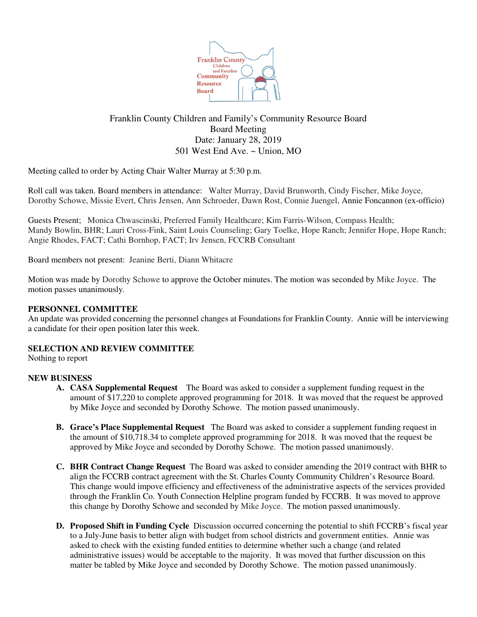

# Franklin County Children and Family's Community Resource Board Board Meeting Date: January 28, 2019 501 West End Ave. ~ Union, MO

Meeting called to order by Acting Chair Walter Murray at 5:30 p.m.

Roll call was taken. Board members in attendance: Walter Murray, David Brunworth, Cindy Fischer, Mike Joyce, Dorothy Schowe, Missie Evert, Chris Jensen, Ann Schroeder, Dawn Rost, Connie Juengel, Annie Foncannon (ex-officio)

Guests Present; Monica Chwascinski, Preferred Family Healthcare; Kim Farris-Wilson, Compass Health; Mandy Bowlin, BHR; Lauri Cross-Fink, Saint Louis Counseling; Gary Toelke, Hope Ranch; Jennifer Hope, Hope Ranch; Angie Rhodes, FACT; Cathi Bornhop, FACT; Irv Jensen, FCCRB Consultant

Board members not present: Jeanine Berti, Diann Whitacre

Motion was made by Dorothy Schowe to approve the October minutes. The motion was seconded by Mike Joyce. The motion passes unanimously.

## **PERSONNEL COMMITTEE**

An update was provided concerning the personnel changes at Foundations for Franklin County. Annie will be interviewing a candidate for their open position later this week.

### **SELECTION AND REVIEW COMMITTEE**

Nothing to report

### **NEW BUSINESS**

- **A. CASA Supplemental Request** The Board was asked to consider a supplement funding request in the amount of \$17,220 to complete approved programming for 2018. It was moved that the request be approved by Mike Joyce and seconded by Dorothy Schowe. The motion passed unanimously.
- **B. Grace's Place Supplemental Request** The Board was asked to consider a supplement funding request in the amount of \$10,718.34 to complete approved programming for 2018. It was moved that the request be approved by Mike Joyce and seconded by Dorothy Schowe. The motion passed unanimously.
- **C. BHR Contract Change Request** The Board was asked to consider amending the 2019 contract with BHR to align the FCCRB contract agreement with the St. Charles County Community Children's Resource Board. This change would impove efficiency and effectiveness of the administrative aspects of the services provided through the Franklin Co. Youth Connection Helpline program funded by FCCRB. It was moved to approve this change by Dorothy Schowe and seconded by Mike Joyce. The motion passed unanimously.
- **D. Proposed Shift in Funding Cycle** Discussion occurred concerning the potential to shift FCCRB's fiscal year to a July-June basis to better align with budget from school districts and government entities. Annie was asked to check with the existing funded entities to determine whether such a change (and related administrative issues) would be acceptable to the majority. It was moved that further discussion on this matter be tabled by Mike Joyce and seconded by Dorothy Schowe. The motion passed unanimously.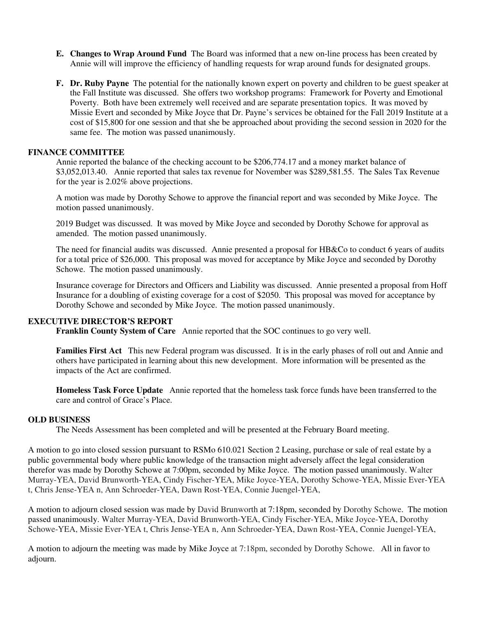- **E. Changes to Wrap Around Fund** The Board was informed that a new on-line process has been created by Annie will will improve the efficiency of handling requests for wrap around funds for designated groups.
- **F. Dr. Ruby Payne** The potential for the nationally known expert on poverty and children to be guest speaker at the Fall Institute was discussed. She offers two workshop programs: Framework for Poverty and Emotional Poverty. Both have been extremely well received and are separate presentation topics. It was moved by Missie Evert and seconded by Mike Joyce that Dr. Payne's services be obtained for the Fall 2019 Institute at a cost of \$15,800 for one session and that she be approached about providing the second session in 2020 for the same fee. The motion was passed unanimously.

#### **FINANCE COMMITTEE**

Annie reported the balance of the checking account to be \$206,774.17 and a money market balance of \$3,052,013.40. Annie reported that sales tax revenue for November was \$289,581.55. The Sales Tax Revenue for the year is 2.02% above projections.

A motion was made by Dorothy Schowe to approve the financial report and was seconded by Mike Joyce. The motion passed unanimously.

2019 Budget was discussed. It was moved by Mike Joyce and seconded by Dorothy Schowe for approval as amended. The motion passed unanimously.

The need for financial audits was discussed. Annie presented a proposal for HB&Co to conduct 6 years of audits for a total price of \$26,000. This proposal was moved for acceptance by Mike Joyce and seconded by Dorothy Schowe. The motion passed unanimously.

Insurance coverage for Directors and Officers and Liability was discussed. Annie presented a proposal from Hoff Insurance for a doubling of existing coverage for a cost of \$2050. This proposal was moved for acceptance by Dorothy Schowe and seconded by Mike Joyce. The motion passed unanimously.

### **EXECUTIVE DIRECTOR'S REPORT**

**Franklin County System of Care** Annie reported that the SOC continues to go very well.

**Families First Act** This new Federal program was discussed. It is in the early phases of roll out and Annie and others have participated in learning about this new development. More information will be presented as the impacts of the Act are confirmed.

**Homeless Task Force Update** Annie reported that the homeless task force funds have been transferred to the care and control of Grace's Place.

#### **OLD BUSINESS**

The Needs Assessment has been completed and will be presented at the February Board meeting.

A motion to go into closed session pursuant to RSMo 610.021 Section 2 Leasing, purchase or sale of real estate by a public governmental body where public knowledge of the transaction might adversely affect the legal consideration therefor was made by Dorothy Schowe at 7:00pm, seconded by Mike Joyce. The motion passed unanimously. Walter Murray-YEA, David Brunworth-YEA, Cindy Fischer-YEA, Mike Joyce-YEA, Dorothy Schowe-YEA, Missie Ever-YEA t, Chris Jense-YEA n, Ann Schroeder-YEA, Dawn Rost-YEA, Connie Juengel-YEA,

A motion to adjourn closed session was made by David Brunworth at 7:18pm, seconded by Dorothy Schowe. The motion passed unanimously. Walter Murray-YEA, David Brunworth-YEA, Cindy Fischer-YEA, Mike Joyce-YEA, Dorothy Schowe-YEA, Missie Ever-YEA t, Chris Jense-YEA n, Ann Schroeder-YEA, Dawn Rost-YEA, Connie Juengel-YEA,

A motion to adjourn the meeting was made by Mike Joyce at 7:18pm, seconded by Dorothy Schowe. All in favor to adjourn.